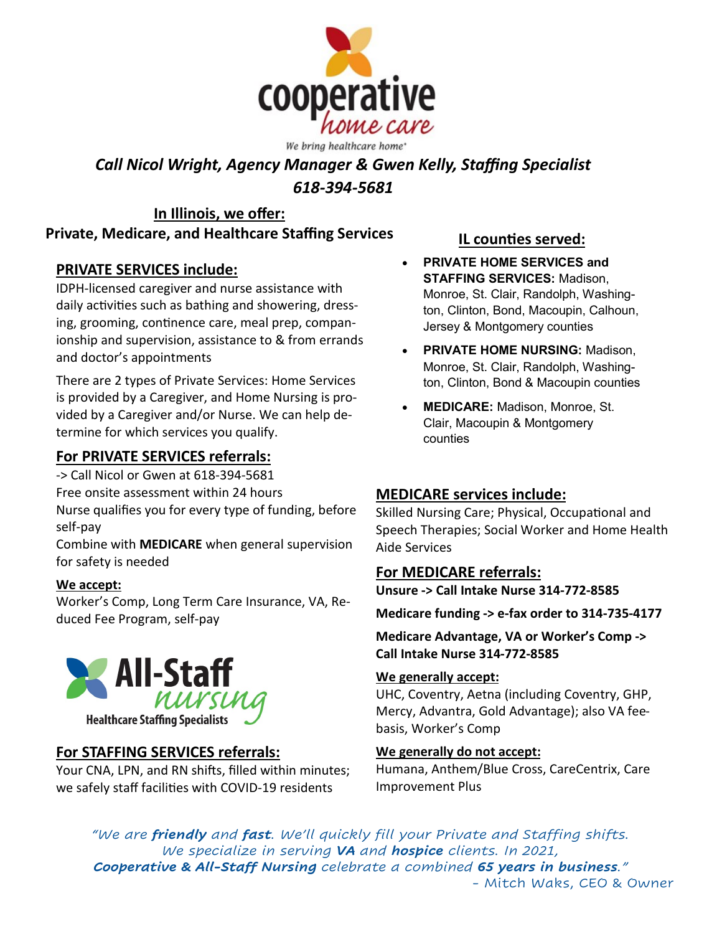

# *Call Nicol Wright, Agency Manager & Gwen Kelly, Staffing Specialist 618-394-5681*

#### **In Illinois, we offer: Private, Medicare, and Healthcare Staffing Services**

# **PRIVATE SERVICES include:**

IDPH-licensed caregiver and nurse assistance with daily activities such as bathing and showering, dressing, grooming, continence care, meal prep, companionship and supervision, assistance to & from errands and doctor's appointments

There are 2 types of Private Services: Home Services is provided by a Caregiver, and Home Nursing is provided by a Caregiver and/or Nurse. We can help determine for which services you qualify.

# **For PRIVATE SERVICES referrals:**

- -> Call Nicol or Gwen at 618-394-5681
- Free onsite assessment within 24 hours

Nurse qualifies you for every type of funding, before self-pay

Combine with **MEDICARE** when general supervision for safety is needed

#### **We accept:**

Worker's Comp, Long Term Care Insurance, VA, Reduced Fee Program, self-pay



# **For STAFFING SERVICES referrals:**

Your CNA, LPN, and RN shifts, filled within minutes; we safely staff facilities with COVID-19 residents

# **IL counties served:**

- **PRIVATE HOME SERVICES and STAFFING SERVICES:** Madison, Monroe, St. Clair, Randolph, Washington, Clinton, Bond, Macoupin, Calhoun, Jersey & Montgomery counties
- **PRIVATE HOME NURSING:** Madison, Monroe, St. Clair, Randolph, Washington, Clinton, Bond & Macoupin counties
- **MEDICARE:** Madison, Monroe, St. Clair, Macoupin & Montgomery counties

# **MEDICARE services include:**

Skilled Nursing Care; Physical, Occupational and Speech Therapies; Social Worker and Home Health Aide Services

#### **For MEDICARE referrals:**

**Unsure -> Call Intake Nurse 314-772-8585**

**Medicare funding -> e-fax order to 314-735-4177**

**Medicare Advantage, VA or Worker's Comp -> Call Intake Nurse 314-772-8585**

#### **We generally accept:**

UHC, Coventry, Aetna (including Coventry, GHP, Mercy, Advantra, Gold Advantage); also VA feebasis, Worker's Comp

#### **We generally do not accept:**

Humana, Anthem/Blue Cross, CareCentrix, Care Improvement Plus

*"We are friendly and fast. We'll quickly fill your Private and Staffing shifts. We specialize in serving VA and hospice clients. In 2021, Cooperative & All-Staff Nursing celebrate a combined 65 years in business."* - Mitch Waks, CEO & Owner